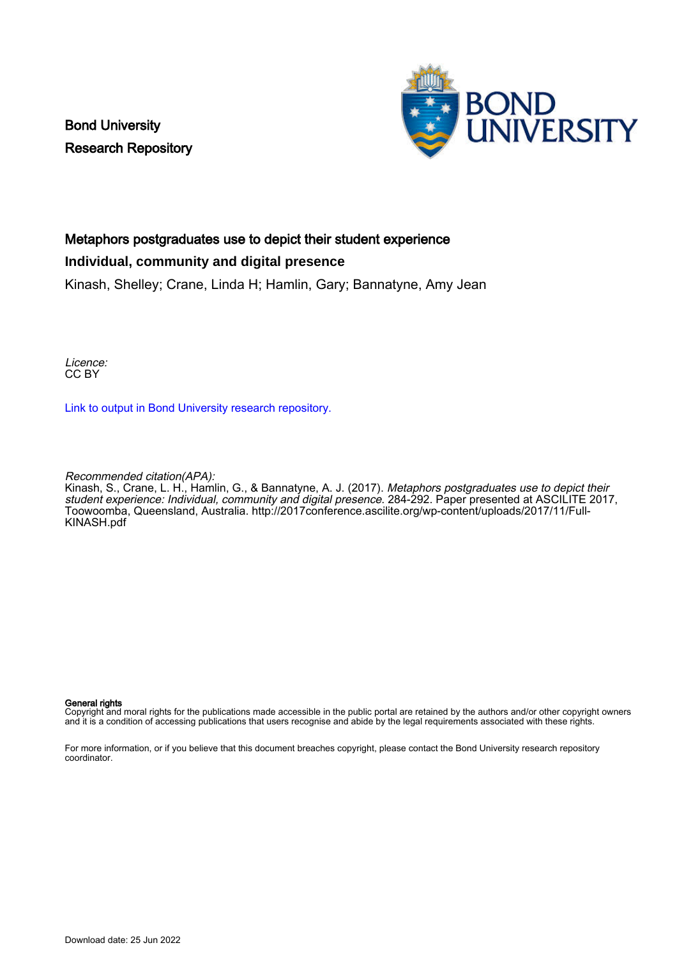Bond University Research Repository



### Metaphors postgraduates use to depict their student experience

### **Individual, community and digital presence**

Kinash, Shelley; Crane, Linda H; Hamlin, Gary; Bannatyne, Amy Jean

Licence: CC BY

[Link to output in Bond University research repository.](https://research.bond.edu.au/en/publications/503a779c-f4ad-4133-89d5-d6572e530d1d)

Recommended citation(APA):

Kinash, S., Crane, L. H., Hamlin, G., & Bannatyne, A. J. (2017). Metaphors postgraduates use to depict their student experience: Individual, community and digital presence. 284-292. Paper presented at ASCILITE 2017, Toowoomba, Queensland, Australia. [http://2017conference.ascilite.org/wp-content/uploads/2017/11/Full-](http://2017conference.ascilite.org/wp-content/uploads/2017/11/Full-KINASH.pdf)[KINASH.pdf](http://2017conference.ascilite.org/wp-content/uploads/2017/11/Full-KINASH.pdf)

### General rights

Copyright and moral rights for the publications made accessible in the public portal are retained by the authors and/or other copyright owners and it is a condition of accessing publications that users recognise and abide by the legal requirements associated with these rights.

For more information, or if you believe that this document breaches copyright, please contact the Bond University research repository coordinator.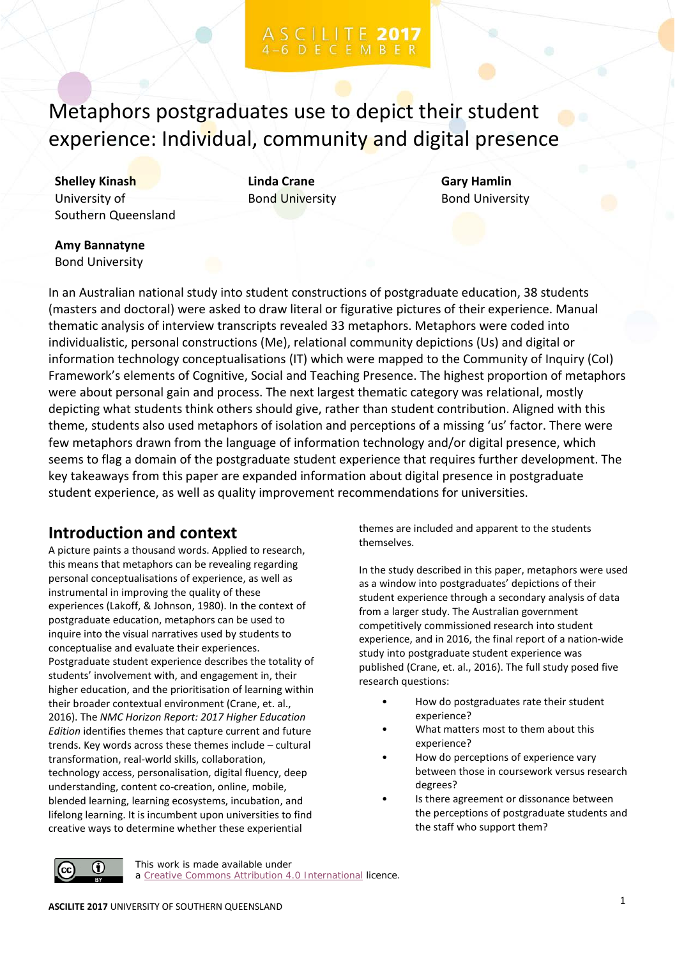Metaphors postgraduates use to depict their student experience: Individual, community and digital presence

**Shelley Kinash** University of Southern Queensland **Linda Crane** Bond University

**Gary Hamlin** Bond University

**Amy Bannatyne** Bond University

In an Australian national study into student constructions of postgraduate education, 38 students (masters and doctoral) were asked to draw literal or figurative pictures of their experience. Manual thematic analysis of interview transcripts revealed 33 metaphors. Metaphors were coded into individualistic, personal constructions (Me), relational community depictions (Us) and digital or information technology conceptualisations (IT) which were mapped to the Community of Inquiry (CoI) Framework's elements of Cognitive, Social and Teaching Presence. The highest proportion of metaphors were about personal gain and process. The next largest thematic category was relational, mostly depicting what students think others should give, rather than student contribution. Aligned with this theme, students also used metaphors of isolation and perceptions of a missing 'us' factor. There were few metaphors drawn from the language of information technology and/or digital presence, which seems to flag a domain of the postgraduate student experience that requires further development. The key takeaways from this paper are expanded information about digital presence in postgraduate student experience, as well as quality improvement recommendations for universities.

# **Introduction and context**

A picture paints a thousand words. Applied to research, this means that metaphors can be revealing regarding personal conceptualisations of experience, as well as instrumental in improving the quality of these experiences (Lakoff, & Johnson, 1980). In the context of postgraduate education, metaphors can be used to inquire into the visual narratives used by students to conceptualise and evaluate their experiences. Postgraduate student experience describes the totality of students' involvement with, and engagement in, their higher education, and the prioritisation of learning within their broader contextual environment (Crane, et. al., 2016). The *NMC Horizon Report: 2017 Higher Education Edition* identifies themes that capture current and future trends. Key words across these themes include – cultural transformation, real-world skills, collaboration, technology access, personalisation, digital fluency, deep understanding, content co-creation, online, mobile, blended learning, learning ecosystems, incubation, and lifelong learning. It is incumbent upon universities to find creative ways to determine whether these experiential

themes are included and apparent to the students themselves.

In the study described in this paper, metaphors were used as a window into postgraduates' depictions of their student experience through a secondary analysis of data from a larger study. The Australian government competitively commissioned research into student experience, and in 2016, the final report of a nation-wide study into postgraduate student experience was published (Crane, et. al., 2016). The full study posed five research questions:

- How do postgraduates rate their student experience?
- What matters most to them about this experience?
- How do perceptions of experience vary between those in coursework versus research degrees?
- Is there agreement or dissonance between the perceptions of postgraduate students and the staff who support them?



This work is made available under a [Creative Commons Attribution 4.0 International](https://creativecommons.org/licenses/by/4.0/) licence.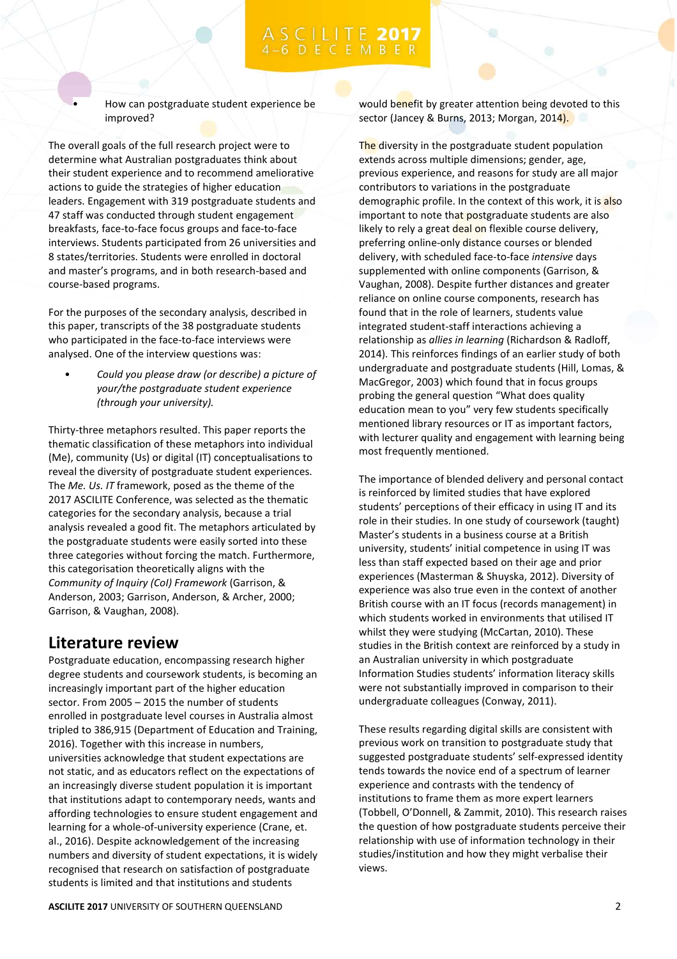• How can postgraduate student experience be improved?

The overall goals of the full research project were to determine what Australian postgraduates think about their student experience and to recommend ameliorative actions to guide the strategies of higher education leaders. Engagement with 319 postgraduate students and 47 staff was conducted through student engagement breakfasts, face-to-face focus groups and face-to-face interviews. Students participated from 26 universities and 8 states/territories. Students were enrolled in doctoral and master's programs, and in both research-based and course-based programs.

For the purposes of the secondary analysis, described in this paper, transcripts of the 38 postgraduate students who participated in the face-to-face interviews were analysed. One of the interview questions was:

• *Could you please draw (or describe) a picture of your/the postgraduate student experience (through your university).*

Thirty-three metaphors resulted. This paper reports the thematic classification of these metaphors into individual (Me), community (Us) or digital (IT) conceptualisations to reveal the diversity of postgraduate student experiences. The *Me. Us. IT* framework, posed as the theme of the 2017 ASCILITE Conference, was selected as the thematic categories for the secondary analysis, because a trial analysis revealed a good fit. The metaphors articulated by the postgraduate students were easily sorted into these three categories without forcing the match. Furthermore, this categorisation theoretically aligns with the *Community of Inquiry (CoI) Framework* (Garrison, & Anderson, 2003; Garrison, Anderson, & Archer, 2000; Garrison, & Vaughan, 2008).

## **Literature review**

Postgraduate education, encompassing research higher degree students and coursework students, is becoming an increasingly important part of the higher education sector. From 2005 – 2015 the number of students enrolled in postgraduate level courses in Australia almost tripled to 386,915 (Department of Education and Training, 2016). Together with this increase in numbers, universities acknowledge that student expectations are not static, and as educators reflect on the expectations of an increasingly diverse student population it is important that institutions adapt to contemporary needs, wants and affording technologies to ensure student engagement and learning for a whole-of-university experience (Crane, et. al., 2016). Despite acknowledgement of the increasing numbers and diversity of student expectations, it is widely recognised that research on satisfaction of postgraduate students is limited and that institutions and students

would benefit by greater attention being devoted to this sector (Jancey & Burns, 2013; Morgan, 2014).

The diversity in the postgraduate student population extends across multiple dimensions; gender, age, previous experience, and reasons for study are all major contributors to variations in the postgraduate demographic profile. In the context of this work, it is also important to note that postgraduate students are also likely to rely a great deal on flexible course delivery, preferring online-only distance courses or blended delivery, with scheduled face-to-face *intensive* days supplemented with online components (Garrison, & Vaughan, 2008). Despite further distances and greater reliance on online course components, research has found that in the role of learners, students value integrated student-staff interactions achieving a relationship as *allies in learning* (Richardson & Radloff, 2014). This reinforces findings of an earlier study of both undergraduate and postgraduate students (Hill, Lomas, & MacGregor, 2003) which found that in focus groups probing the general question "What does quality education mean to you" very few students specifically mentioned library resources or IT as important factors, with lecturer quality and engagement with learning being most frequently mentioned.

The importance of blended delivery and personal contact is reinforced by limited studies that have explored students' perceptions of their efficacy in using IT and its role in their studies. In one study of coursework (taught) Master's students in a business course at a British university, students' initial competence in using IT was less than staff expected based on their age and prior experiences (Masterman & Shuyska, 2012). Diversity of experience was also true even in the context of another British course with an IT focus (records management) in which students worked in environments that utilised IT whilst they were studying (McCartan, 2010). These studies in the British context are reinforced by a study in an Australian university in which postgraduate Information Studies students' information literacy skills were not substantially improved in comparison to their undergraduate colleagues (Conway, 2011).

These results regarding digital skills are consistent with previous work on transition to postgraduate study that suggested postgraduate students' self-expressed identity tends towards the novice end of a spectrum of learner experience and contrasts with the tendency of institutions to frame them as more expert learners (Tobbell, O'Donnell, & Zammit, 2010). This research raises the question of how postgraduate students perceive their relationship with use of information technology in their studies/institution and how they might verbalise their views.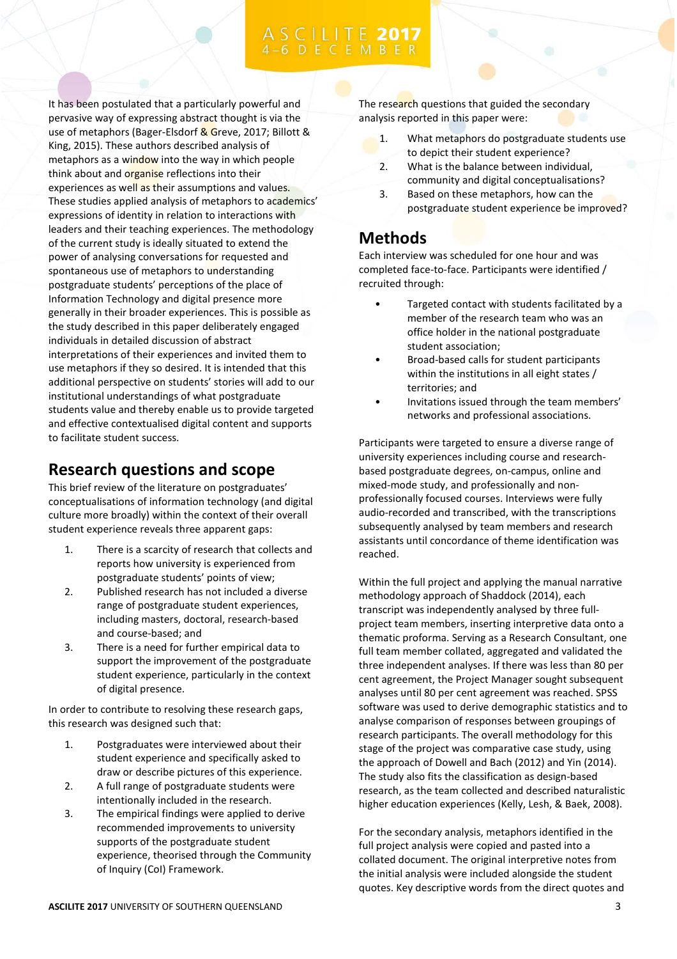It has been postulated that a particularly powerful and pervasive way of expressing abstract thought is via the use of metaphors (Bager-Elsdorf & Greve, 2017; Billott & King, 2015). These authors described analysis of metaphors as a window into the way in which people think about and organise reflections into their experiences as well as their assumptions and values. These studies applied analysis of metaphors to academics' expressions of identity in relation to interactions with leaders and their teaching experiences. The methodology of the current study is ideally situated to extend the power of analysing conversations for requested and spontaneous use of metaphors to understanding postgraduate students' perceptions of the place of Information Technology and digital presence more generally in their broader experiences. This is possible as the study described in this paper deliberately engaged individuals in detailed discussion of abstract interpretations of their experiences and invited them to use metaphors if they so desired. It is intended that this additional perspective on students' stories will add to our institutional understandings of what postgraduate students value and thereby enable us to provide targeted and effective contextualised digital content and supports to facilitate student success.

# **Research questions and scope**

This brief review of the literature on postgraduates' conceptualisations of information technology (and digital culture more broadly) within the context of their overall student experience reveals three apparent gaps:

- 1. There is a scarcity of research that collects and reports how university is experienced from postgraduate students' points of view;
- 2. Published research has not included a diverse range of postgraduate student experiences, including masters, doctoral, research-based and course-based; and
- 3. There is a need for further empirical data to support the improvement of the postgraduate student experience, particularly in the context of digital presence.

In order to contribute to resolving these research gaps, this research was designed such that:

- 1. Postgraduates were interviewed about their student experience and specifically asked to draw or describe pictures of this experience.
- 2. A full range of postgraduate students were intentionally included in the research.
- 3. The empirical findings were applied to derive recommended improvements to university supports of the postgraduate student experience, theorised through the Community of Inquiry (CoI) Framework.

The research questions that guided the secondary analysis reported in this paper were:

- 1. What metaphors do postgraduate students use to depict their student experience?
- 2. What is the balance between individual, community and digital conceptualisations?
- 3. Based on these metaphors, how can the postgraduate student experience be improved?

# **Methods**

Each interview was scheduled for one hour and was completed face-to-face. Participants were identified / recruited through:

- Targeted contact with students facilitated by a member of the research team who was an office holder in the national postgraduate student association;
- Broad-based calls for student participants within the institutions in all eight states / territories; and
- Invitations issued through the team members' networks and professional associations.

Participants were targeted to ensure a diverse range of university experiences including course and researchbased postgraduate degrees, on-campus, online and mixed-mode study, and professionally and nonprofessionally focused courses. Interviews were fully audio-recorded and transcribed, with the transcriptions subsequently analysed by team members and research assistants until concordance of theme identification was reached.

Within the full project and applying the manual narrative methodology approach of Shaddock (2014), each transcript was independently analysed by three fullproject team members, inserting interpretive data onto a thematic proforma. Serving as a Research Consultant, one full team member collated, aggregated and validated the three independent analyses. If there was less than 80 per cent agreement, the Project Manager sought subsequent analyses until 80 per cent agreement was reached. SPSS software was used to derive demographic statistics and to analyse comparison of responses between groupings of research participants. The overall methodology for this stage of the project was comparative case study, using the approach of Dowell and Bach (2012) and Yin (2014). The study also fits the classification as design-based research, as the team collected and described naturalistic higher education experiences (Kelly, Lesh, & Baek, 2008).

For the secondary analysis, metaphors identified in the full project analysis were copied and pasted into a collated document. The original interpretive notes from the initial analysis were included alongside the student quotes. Key descriptive words from the direct quotes and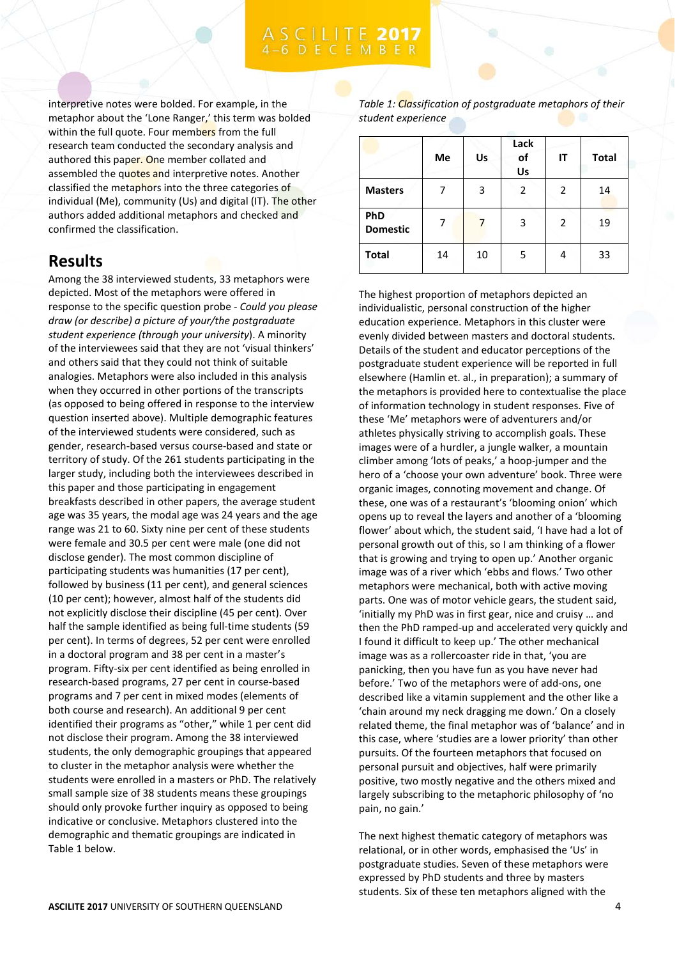interpretive notes were bolded. For example, in the metaphor about the 'Lone Ranger,' this term was bolded within the full quote. Four members from the full research team conducted the secondary analysis and authored this paper. One member collated and assembled the quotes and interpretive notes. Another classified the metaphors into the three categories of individual (Me), community (Us) and digital (IT). The other authors added additional metaphors and checked and confirmed the classification.

# **Results**

Among the 38 interviewed students, 33 metaphors were depicted. Most of the metaphors were offered in response to the specific question probe - *Could you please draw (or describe) a picture of your/the postgraduate student experience (through your university*). A minority of the interviewees said that they are not 'visual thinkers' and others said that they could not think of suitable analogies. Metaphors were also included in this analysis when they occurred in other portions of the transcripts (as opposed to being offered in response to the interview question inserted above). Multiple demographic features of the interviewed students were considered, such as gender, research-based versus course-based and state or territory of study. Of the 261 students participating in the larger study, including both the interviewees described in this paper and those participating in engagement breakfasts described in other papers, the average student age was 35 years, the modal age was 24 years and the age range was 21 to 60. Sixty nine per cent of these students were female and 30.5 per cent were male (one did not disclose gender). The most common discipline of participating students was humanities (17 per cent), followed by business (11 per cent), and general sciences (10 per cent); however, almost half of the students did not explicitly disclose their discipline (45 per cent). Over half the sample identified as being full-time students (59 per cent). In terms of degrees, 52 per cent were enrolled in a doctoral program and 38 per cent in a master's program. Fifty-six per cent identified as being enrolled in research-based programs, 27 per cent in course-based programs and 7 per cent in mixed modes (elements of both course and research). An additional 9 per cent identified their programs as "other," while 1 per cent did not disclose their program. Among the 38 interviewed students, the only demographic groupings that appeared to cluster in the metaphor analysis were whether the students were enrolled in a masters or PhD. The relatively small sample size of 38 students means these groupings should only provoke further inquiry as opposed to being indicative or conclusive. Metaphors clustered into the demographic and thematic groupings are indicated in Table 1 below.

*Table 1: Classification of postgraduate metaphors of their student experience*

|                        | Me | Us | Lack<br>of<br>Us | IT | <b>Total</b> |
|------------------------|----|----|------------------|----|--------------|
| <b>Masters</b>         | 7  | 3  | 2                | 2  | 14           |
| PhD<br><b>Domestic</b> |    | 7  | 3                | 2  | 19           |
| <b>Total</b>           | 14 | 10 | 5                | 4  | 33           |

The highest proportion of metaphors depicted an individualistic, personal construction of the higher education experience. Metaphors in this cluster were evenly divided between masters and doctoral students. Details of the student and educator perceptions of the postgraduate student experience will be reported in full elsewhere (Hamlin et. al., in preparation); a summary of the metaphors is provided here to contextualise the place of information technology in student responses. Five of these 'Me' metaphors were of adventurers and/or athletes physically striving to accomplish goals. These images were of a hurdler, a jungle walker, a mountain climber among 'lots of peaks,' a hoop-jumper and the hero of a 'choose your own adventure' book. Three were organic images, connoting movement and change. Of these, one was of a restaurant's 'blooming onion' which opens up to reveal the layers and another of a 'blooming flower' about which, the student said, 'I have had a lot of personal growth out of this, so I am thinking of a flower that is growing and trying to open up.' Another organic image was of a river which 'ebbs and flows.' Two other metaphors were mechanical, both with active moving parts. One was of motor vehicle gears, the student said, 'initially my PhD was in first gear, nice and cruisy … and then the PhD ramped-up and accelerated very quickly and I found it difficult to keep up.' The other mechanical image was as a rollercoaster ride in that, 'you are panicking, then you have fun as you have never had before.' Two of the metaphors were of add-ons, one described like a vitamin supplement and the other like a 'chain around my neck dragging me down.' On a closely related theme, the final metaphor was of 'balance' and in this case, where 'studies are a lower priority' than other pursuits. Of the fourteen metaphors that focused on personal pursuit and objectives, half were primarily positive, two mostly negative and the others mixed and largely subscribing to the metaphoric philosophy of 'no pain, no gain.'

The next highest thematic category of metaphors was relational, or in other words, emphasised the 'Us' in postgraduate studies. Seven of these metaphors were expressed by PhD students and three by masters students. Six of these ten metaphors aligned with the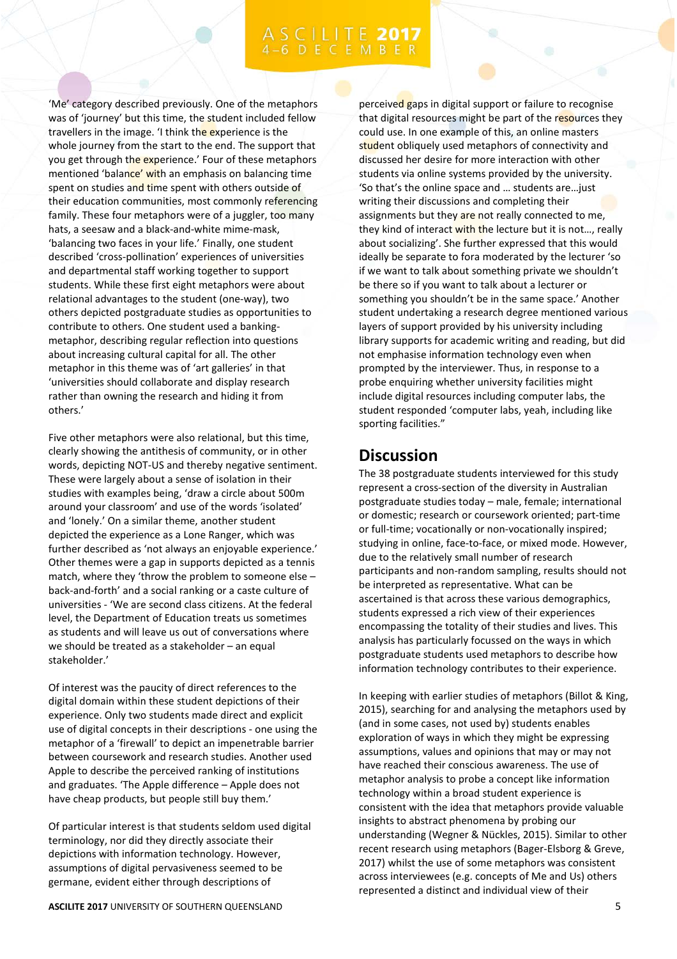# C I L I T E 2017

'Me' category described previously. One of the metaphors was of 'journey' but this time, the student included fellow travellers in the image. 'I think the experience is the whole journey from the start to the end. The support that you get through the experience.' Four of these metaphors mentioned 'balance' with an emphasis on balancing time spent on studies and time spent with others outside of their education communities, most commonly referencing family. These four metaphors were of a juggler, too many hats, a seesaw and a black-and-white mime-mask, 'balancing two faces in your life.' Finally, one student described 'cross-pollination' experiences of universities and departmental staff working together to support students. While these first eight metaphors were about relational advantages to the student (one-way), two others depicted postgraduate studies as opportunities to contribute to others. One student used a bankingmetaphor, describing regular reflection into questions about increasing cultural capital for all. The other metaphor in this theme was of 'art galleries' in that 'universities should collaborate and display research rather than owning the research and hiding it from others.'

Five other metaphors were also relational, but this time, clearly showing the antithesis of community, or in other words, depicting NOT-US and thereby negative sentiment. These were largely about a sense of isolation in their studies with examples being, 'draw a circle about 500m around your classroom' and use of the words 'isolated' and 'lonely.' On a similar theme, another student depicted the experience as a Lone Ranger, which was further described as 'not always an enjoyable experience.' Other themes were a gap in supports depicted as a tennis match, where they 'throw the problem to someone else – back-and-forth' and a social ranking or a caste culture of universities - 'We are second class citizens. At the federal level, the Department of Education treats us sometimes as students and will leave us out of conversations where we should be treated as a stakeholder – an equal stakeholder.'

Of interest was the paucity of direct references to the digital domain within these student depictions of their experience. Only two students made direct and explicit use of digital concepts in their descriptions - one using the metaphor of a 'firewall' to depict an impenetrable barrier between coursework and research studies. Another used Apple to describe the perceived ranking of institutions and graduates. 'The Apple difference – Apple does not have cheap products, but people still buy them.'

Of particular interest is that students seldom used digital terminology, nor did they directly associate their depictions with information technology. However, assumptions of digital pervasiveness seemed to be germane, evident either through descriptions of

perceived gaps in digital support or failure to recognise that digital resources might be part of the resources they could use. In one example of this, an online masters student obliquely used metaphors of connectivity and discussed her desire for more interaction with other students via online systems provided by the university. 'So that's the online space and … students are…just writing their discussions and completing their assignments but they are not really connected to me, they kind of interact with the lecture but it is not..., really about socializing'. She further expressed that this would ideally be separate to fora moderated by the lecturer 'so if we want to talk about something private we shouldn't be there so if you want to talk about a lecturer or something you shouldn't be in the same space.' Another student undertaking a research degree mentioned various layers of support provided by his university including library supports for academic writing and reading, but did not emphasise information technology even when prompted by the interviewer. Thus, in response to a probe enquiring whether university facilities might include digital resources including computer labs, the student responded 'computer labs, yeah, including like sporting facilities."

### **Discussion**

The 38 postgraduate students interviewed for this study represent a cross-section of the diversity in Australian postgraduate studies today – male, female; international or domestic; research or coursework oriented; part-time or full-time; vocationally or non-vocationally inspired; studying in online, face-to-face, or mixed mode. However, due to the relatively small number of research participants and non-random sampling, results should not be interpreted as representative. What can be ascertained is that across these various demographics, students expressed a rich view of their experiences encompassing the totality of their studies and lives. This analysis has particularly focussed on the ways in which postgraduate students used metaphors to describe how information technology contributes to their experience.

In keeping with earlier studies of metaphors (Billot & King, 2015), searching for and analysing the metaphors used by (and in some cases, not used by) students enables exploration of ways in which they might be expressing assumptions, values and opinions that may or may not have reached their conscious awareness. The use of metaphor analysis to probe a concept like information technology within a broad student experience is consistent with the idea that metaphors provide valuable insights to abstract phenomena by probing our understanding (Wegner & Nückles, 2015). Similar to other recent research using metaphors (Bager-Elsborg & Greve, 2017) whilst the use of some metaphors was consistent across interviewees (e.g. concepts of Me and Us) others represented a distinct and individual view of their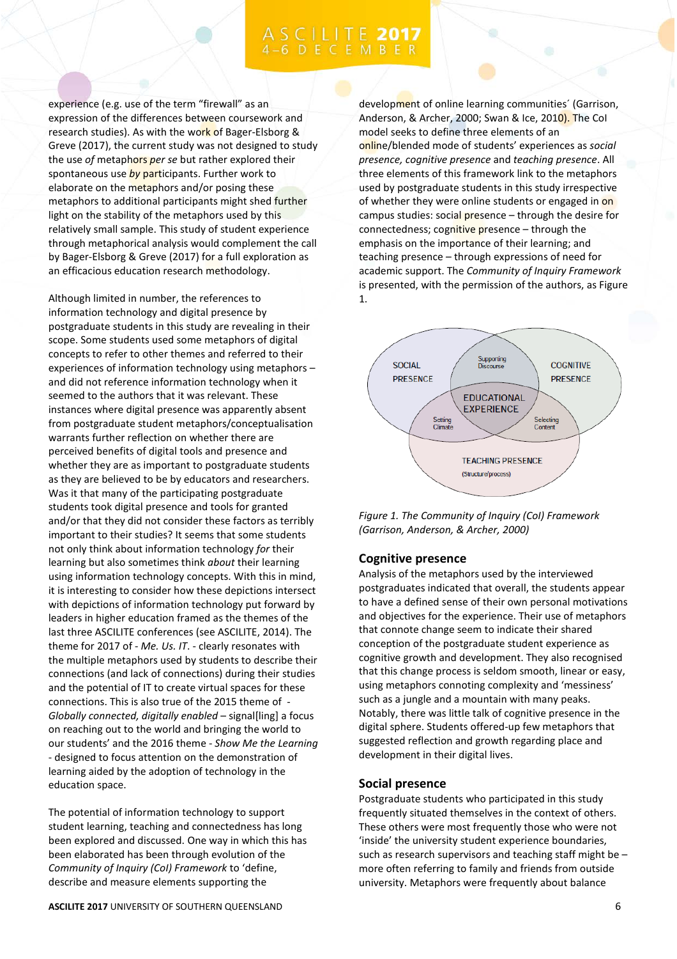# C I L I T E 2017

experience (e.g. use of the term "firewall" as an expression of the differences between coursework and research studies). As with the work of Bager-Elsborg & Greve (2017), the current study was not designed to study the use *of* metaphors *per se* but rather explored their spontaneous use *by* participants. Further work to elaborate on the metaphors and/or posing these metaphors to additional participants might shed further light on the stability of the metaphors used by this relatively small sample. This study of student experience through metaphorical analysis would complement the call by Bager-Elsborg & Greve (2017) for a full exploration as an efficacious education research methodology.

Although limited in number, the references to information technology and digital presence by postgraduate students in this study are revealing in their scope. Some students used some metaphors of digital concepts to refer to other themes and referred to their experiences of information technology using metaphors – and did not reference information technology when it seemed to the authors that it was relevant. These instances where digital presence was apparently absent from postgraduate student metaphors/conceptualisation warrants further reflection on whether there are perceived benefits of digital tools and presence and whether they are as important to postgraduate students as they are believed to be by educators and researchers. Was it that many of the participating postgraduate students took digital presence and tools for granted and/or that they did not consider these factors as terribly important to their studies? It seems that some students not only think about information technology *for* their learning but also sometimes think *about* their learning using information technology concepts. With this in mind, it is interesting to consider how these depictions intersect with depictions of information technology put forward by leaders in higher education framed as the themes of the last three ASCILITE conferences (see ASCILITE, 2014). The theme for 2017 of - *Me. Us. IT*. - clearly resonates with the multiple metaphors used by students to describe their connections (and lack of connections) during their studies and the potential of IT to create virtual spaces for these connections. This is also true of the 2015 theme of - *Globally connected, digitally enabled* – signal[ling] a focus on reaching out to the world and bringing the world to our students' and the 2016 theme - *Show Me the Learning*  - designed to focus attention on the demonstration of learning aided by the adoption of technology in the education space.

The potential of information technology to support student learning, teaching and connectedness has long been explored and discussed. One way in which this has been elaborated has been through evolution of the *Community of Inquiry (CoI) Framework* to 'define, describe and measure elements supporting the

development of online learning communities' (Garrison, Anderson, & Archer, 2000; Swan & Ice, 2010). The Col model seeks to define three elements of an online/blended mode of students' experiences as *social presence, cognitive presence* and *teaching presence*. All three elements of this framework link to the metaphors used by postgraduate students in this study irrespective of whether they were online students or engaged in on campus studies: social presence - through the desire for connectedness; cognitive presence - through the emphasis on the importance of their learning; and teaching presence – through expressions of need for academic support. The *Community of Inquiry Framework* is presented, with the permission of the authors, as Figure 1.



*Figure 1. The Community of Inquiry (CoI) Framework (Garrison, Anderson, & Archer, 2000)*

### **Cognitive presence**

Analysis of the metaphors used by the interviewed postgraduates indicated that overall, the students appear to have a defined sense of their own personal motivations and objectives for the experience. Their use of metaphors that connote change seem to indicate their shared conception of the postgraduate student experience as cognitive growth and development. They also recognised that this change process is seldom smooth, linear or easy, using metaphors connoting complexity and 'messiness' such as a jungle and a mountain with many peaks. Notably, there was little talk of cognitive presence in the digital sphere. Students offered-up few metaphors that suggested reflection and growth regarding place and development in their digital lives.

### **Social presence**

Postgraduate students who participated in this study frequently situated themselves in the context of others. These others were most frequently those who were not 'inside' the university student experience boundaries, such as research supervisors and teaching staff might be – more often referring to family and friends from outside university. Metaphors were frequently about balance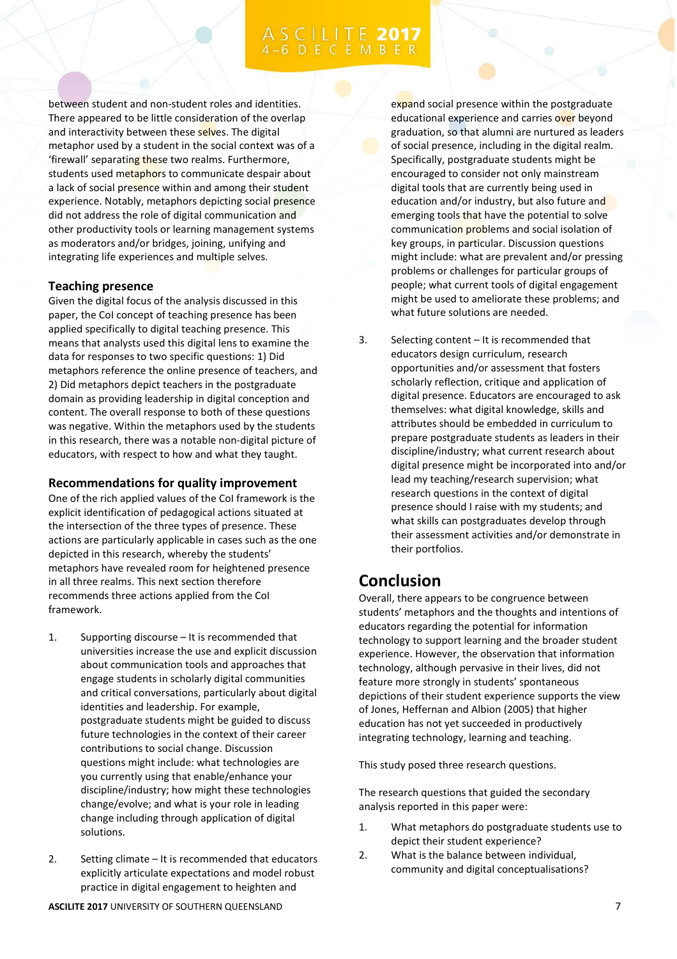between student and non-student roles and identities. There appeared to be little consideration of the overlap and interactivity between these selves. The digital metaphor used by a student in the social context was of a 'firewall' separating these two realms. Furthermore, students used metaphors to communicate despair about a lack of social presence within and among their student experience. Notably, metaphors depicting social presence did not address the role of digital communication and other productivity tools or learning management systems as moderators and/or bridges, joining, unifying and integrating life experiences and multiple selves.

### **Teaching presence**

Given the digital focus of the analysis discussed in this paper, the CoI concept of teaching presence has been applied specifically to digital teaching presence. This means that analysts used this digital lens to examine the data for responses to two specific questions: 1) Did metaphors reference the online presence of teachers, and 2) Did metaphors depict teachers in the postgraduate domain as providing leadership in digital conception and content. The overall response to both of these questions was negative. Within the metaphors used by the students in this research, there was a notable non-digital picture of educators, with respect to how and what they taught.

### **Recommendations for quality improvement**

One of the rich applied values of the CoI framework is the explicit identification of pedagogical actions situated at the intersection of the three types of presence. These actions are particularly applicable in cases such as the one depicted in this research, whereby the students' metaphors have revealed room for heightened presence in all three realms. This next section therefore recommends three actions applied from the CoI framework.

- 1. Supporting discourse It is recommended that universities increase the use and explicit discussion about communication tools and approaches that engage students in scholarly digital communities and critical conversations, particularly about digital identities and leadership. For example, postgraduate students might be guided to discuss future technologies in the context of their career contributions to social change. Discussion questions might include: what technologies are you currently using that enable/enhance your discipline/industry; how might these technologies change/evolve; and what is your role in leading change including through application of digital solutions.
- 2. Setting climate It is recommended that educators explicitly articulate expectations and model robust practice in digital engagement to heighten and

expand social presence within the postgraduate educational experience and carries over beyond graduation, so that alumni are nurtured as leaders of social presence, including in the digital realm. Specifically, postgraduate students might be encouraged to consider not only mainstream digital tools that are currently being used in education and/or industry, but also future and emerging tools that have the potential to solve communication problems and social isolation of key groups, in particular. Discussion questions might include: what are prevalent and/or pressing problems or challenges for particular groups of people; what current tools of digital engagement might be used to ameliorate these problems; and what future solutions are needed.

3. Selecting content – It is recommended that educators design curriculum, research opportunities and/or assessment that fosters scholarly reflection, critique and application of digital presence. Educators are encouraged to ask themselves: what digital knowledge, skills and attributes should be embedded in curriculum to prepare postgraduate students as leaders in their discipline/industry; what current research about digital presence might be incorporated into and/or lead my teaching/research supervision; what research questions in the context of digital presence should I raise with my students; and what skills can postgraduates develop through their assessment activities and/or demonstrate in their portfolios.

# **Conclusion**

Overall, there appears to be congruence between students' metaphors and the thoughts and intentions of educators regarding the potential for information technology to support learning and the broader student experience. However, the observation that information technology, although pervasive in their lives, did not feature more strongly in students' spontaneous depictions of their student experience supports the view of Jones, Heffernan and Albion (2005) that higher education has not yet succeeded in productively integrating technology, learning and teaching.

This study posed three research questions.

The research questions that guided the secondary analysis reported in this paper were:

- 1. What metaphors do postgraduate students use to depict their student experience?
- 2. What is the balance between individual, community and digital conceptualisations?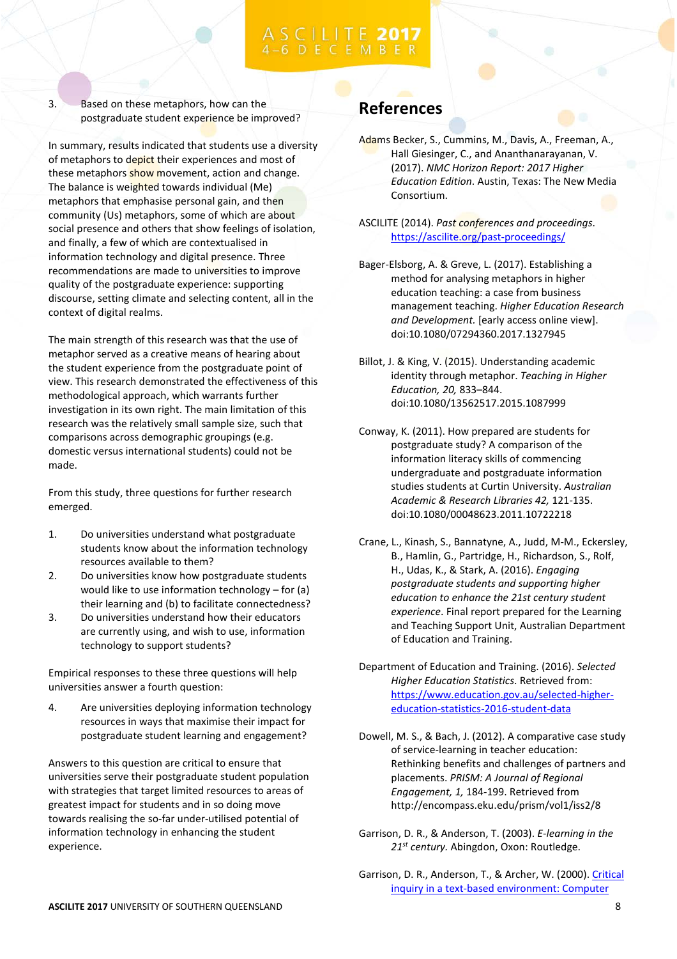3. Based on these metaphors, how can the postgraduate student experience be improved?

In summary, results indicated that students use a diversity of metaphors to depict their experiences and most of these metaphors show movement, action and change. The balance is weighted towards individual (Me) metaphors that emphasise personal gain, and then community (Us) metaphors, some of which are about social presence and others that show feelings of isolation, and finally, a few of which are contextualised in information technology and digital presence. Three recommendations are made to universities to improve quality of the postgraduate experience: supporting discourse, setting climate and selecting content, all in the context of digital realms.

The main strength of this research was that the use of metaphor served as a creative means of hearing about the student experience from the postgraduate point of view. This research demonstrated the effectiveness of this methodological approach, which warrants further investigation in its own right. The main limitation of this research was the relatively small sample size, such that comparisons across demographic groupings (e.g. domestic versus international students) could not be made.

From this study, three questions for further research emerged.

- 1. Do universities understand what postgraduate students know about the information technology resources available to them?
- 2. Do universities know how postgraduate students would like to use information technology – for (a) their learning and (b) to facilitate connectedness?
- 3. Do universities understand how their educators are currently using, and wish to use, information technology to support students?

Empirical responses to these three questions will help universities answer a fourth question:

4. Are universities deploying information technology resources in ways that maximise their impact for postgraduate student learning and engagement?

Answers to this question are critical to ensure that universities serve their postgraduate student population with strategies that target limited resources to areas of greatest impact for students and in so doing move towards realising the so-far under-utilised potential of information technology in enhancing the student experience.

## **References**

- Adams Becker, S., Cummins, M., Davis, A., Freeman, A., Hall Giesinger, C., and Ananthanarayanan, V. (2017). *NMC Horizon Report: 2017 Higher Education Edition*. Austin, Texas: The New Media Consortium.
- ASCILITE (2014). *Past conferences and proceedings*. <https://ascilite.org/past-proceedings/>
- Bager-Elsborg, A. & Greve, L. (2017). Establishing a method for analysing metaphors in higher education teaching: a case from business management teaching. *Higher Education Research and Development.* [early access online view]. doi:10.1080/07294360.2017.1327945
- Billot, J. & King, V. (2015). Understanding academic identity through metaphor. *Teaching in Higher Education, 20,* 833–844. doi:10.1080/13562517.2015.1087999
- Conway, K. (2011). How prepared are students for postgraduate study? A comparison of the information literacy skills of commencing undergraduate and postgraduate information studies students at Curtin University. *Australian Academic & Research Libraries 42,* 121-135. doi:10.1080/00048623.2011.10722218
- Crane, L., Kinash, S., Bannatyne, A., Judd, M-M., Eckersley, B., Hamlin, G., Partridge, H., Richardson, S., Rolf, H., Udas, K., & Stark, A. (2016). *Engaging postgraduate students and supporting higher education to enhance the 21st century student experience*. Final report prepared for the Learning and Teaching Support Unit, Australian Department of Education and Training.
- Department of Education and Training. (2016). *Selected Higher Education Statistics*. Retrieved from: [https://www.education.gov.au/selected-higher](https://www.education.gov.au/selected-higher-education-statistics-2016-student-data)[education-statistics-2016-student-data](https://www.education.gov.au/selected-higher-education-statistics-2016-student-data)
- Dowell, M. S., & Bach, J. (2012). A comparative case study of service-learning in teacher education: Rethinking benefits and challenges of partners and placements. *PRISM: A Journal of Regional Engagement, 1,* 184-199. Retrieved from http://encompass.eku.edu/prism/vol1/iss2/8
- Garrison, D. R., & Anderson, T. (2003). *E-learning in the 21st century.* Abingdon, Oxon: Routledge.
- Garrison, D. R., Anderson, T., & Archer, W. (2000). Critical [inquiry in a text-based environment: Computer](http://cde.athabascau.ca/coi_site/documents/Garrison_Anderson_Archer_Critical_Inquiry_model.pdf)